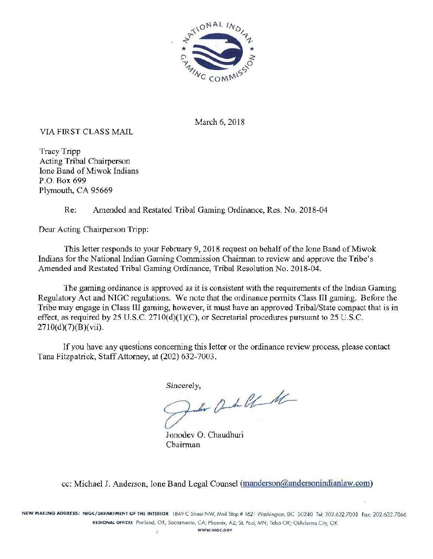

March 6, 2018

### VIA FIRST CLASS MAIL

Tracy Tripp Acting Tribal Chairperson Ione Band of Miwok Indians P.O. Box 699 Plymouth, CA 95669

Re: Amended and Restated Tribal Gaming Ordinance, Res. No. 2018-04

Dear Acting Chairperson Tripp:

This letter responds to your February 9, 2018 request on behalf of the Ione Band of Miwok Indians for the National Indian Gaming Commission Chairman to review and approve the Tribe's Amended and Restated Tribal Gaming Ordinance, Tribal Resolution No. 2018-04.

The gaming ordinance is approved as it is consistent with the requirements of the Indian Gaming Regulatory Act and NIGC regulations. We note that the ordinance permits Class III gaming. Before the Tribe may engage in Class III gaming, however, it must have an approved Tribal/State compact that is in effect, as required by 25 U.S.C.  $2710(d)(1)(C)$ , or Secretarial procedures pursuant to 25 U.S.C.  $2710(d)(7)(B)(vii).$ 

If you have any questions concerning this letter or the ordinance review process, please contact Tana Fitzpatrick, Staff Attorney, at (202) 632-7003.

Sincerely,

10 0 1 0 1

Jonodev O. Chaudhuri Chairman

cc: Michael J. Anderson, Ione Band Legal Counsel (manderson@andersonindianlaw.com)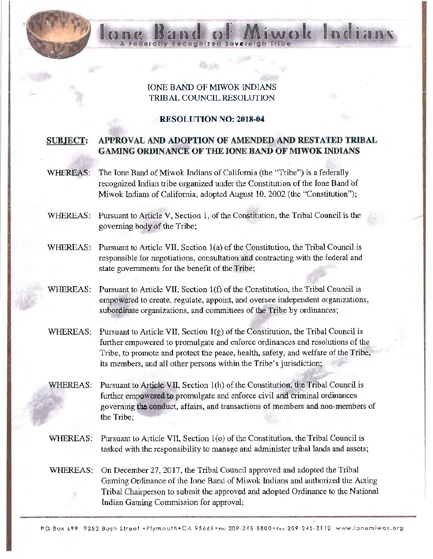### IONE BAND OF MIWOK INDIANS TRIBAL COUNCIL RESOLUTION

ecognized Sov

Indians

#### RESOLUTION NO: 2018-04

### SUBJECT: APPROVAL AND ADOPTION OF AMENDED AND RESTATED TRIBAL GAMING ORDINANCE OF THE IONE BAND OF MIWOK INDIANS

- WHEREAS: The Ione Band of Miwok Indians of California (the "Tribe") is a federally recognized Indian tribe organized under the Constitution of the Ione Band of Miwok Indians of California, adopted August 10, 2002 (the "Constitution");
- WHEREAS: Pursuant to Article V, Section 1, of the Constitution, the Tribal Council is the governing body of the Tribe;
- WHEREAS: Pursuant to Article VII, Section 1(a) of the Constitution, the Tribal Council is responsible for negotiations, consultation and contracting with the federal and state governments for the benefit of the Tribe;
- WHEREAS: Pursuant to Article VII, Section  $1(f)$  of the Constitution, the Tribal Council is empowered to create, regulate, appoint, and oversee independent organizations, subordinate organizations, and committees of the Tribe by ordinances;
- WHEREAS: Pursuant to Article VII, Section  $1(g)$  of the Constitution, the Tribal Council is further empowered to promulgate and enforce ordinances and resolutions of the Tribe, to promote and protect the peace, health, safety, and welfare of the Tribe, its members, and all other persons within the Tribe's jurisdiction;
- WHEREAS: Pursuant to Article VII, Section 1(h) of the Constitution, the Tribal Council is further empowered to promulgate and enforce civil and criminal ordinances governing the conduct, affairs, and transactions of members and non-members of the Tribe;
- WHEREAS: Pursuant to Article VII, Section 1(o) of the Constitution, the Tribal Council is tasked with the responsibility to manage and administer tribal lands and assets;
- WHEREAS: On December 27, 2017, the Tribal Council approved and adopted the Tribal Gaming Ordinance of the Ione Band of Miwok Indians and authorized the Acting Tribal Chairperson to submit the approved and adopted Ordinance to the National Indian Gaming Commission for approval;

PO Box 699 9252 Bush Street •Plymouth•CA 95669 •Ph: 209-245-5800 •Fox 209-245-3112 www.ionemiwok.org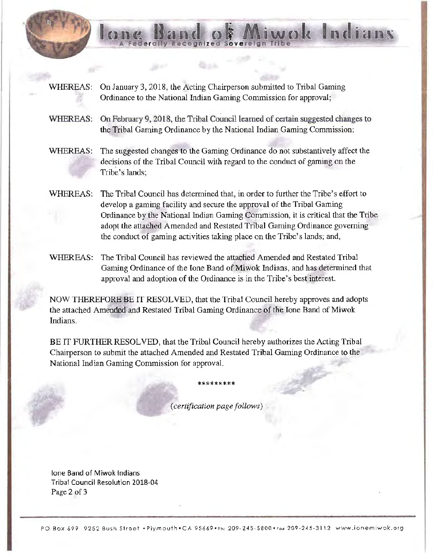

WHEREAS: On February 9, 2018, the Tribal Council learned of certain suggested changes to the Tribal Gaming Ordinance by the National Indian Gaming Commission;

Recognized Sovereign

Indians

 $\sqrt{2}$ 

- WHEREAS: The suggested changes to the Gaming Ordinance do not substantively affect the decisions of the Tribal Council with regard to the conduct of gaming on the Tribe's lands;
- WHEREAS: The Tribal Council has determined that, in order to further the Tribe's effort to develop a gaming facility and secure the approval of the Tribal Gaming Ordinance by the National Indian Gaming Commission, it is critical that the Tribe adopt the attached Amended and Restated Tribal Gaming Ordinance governing the conduct of gaming activities taking place on the Tribe's lands; and,
- WHEREAS: The Tribal Council has reviewed the attached Amended and Restated Tribal Gaming Ordinance of the Ione Band of Miwok Indians, and has determined that approval and adoption of the Ordinance is· in the Tribe's best interest.

NOW THEREFORE BE IT RESOLVED, that the Tribal Council hereby approves and adopts the attached Amended and Restated Tribal Gaming Ordinance of the Ione Band of Miwok Indians.

BE IT FURTHER RESOLVED, that the Tribal Council hereby authorizes the Acting Tribal Chairperson to submit the attached Amended and Restated Tribal Gaming Ordinance to the National Indian Gaming Commission for approval.

*(certification page follows)* 

\*\*\*\*\*\*\*\*

lone Band of Miwok Indians Tribal Council Resolution 2018-04 Page 2 of 3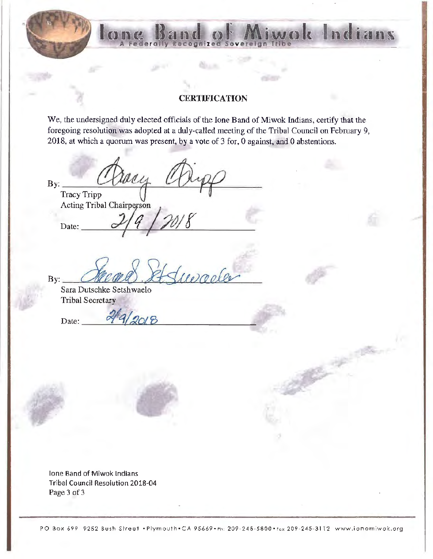### **CERTIFICATION**

ecognized Sovereign

Indian

We, the undersigned duly elected officials of the Ione Band of Miwok Indians, certify that the foregoing resolution was adopted at a duly-called meeting of the Tribal Council on February 9, 2018, at which a quorum was present, by a vote of 3 for, 0 against, and 0 abstentions.

worles

 $By:$ Tracy Tripp Acting Tribal Chairperson Date:

.,

 $\overline{\mathbf{B}}$  v:

Sara Dutschke Setshwaelo Tribal Secretary

 $Date:$   $\frac{249}{2018}$ 

lone Band of Miwok Indians Tribal Council Resolution 2018-04 Page 3 of 3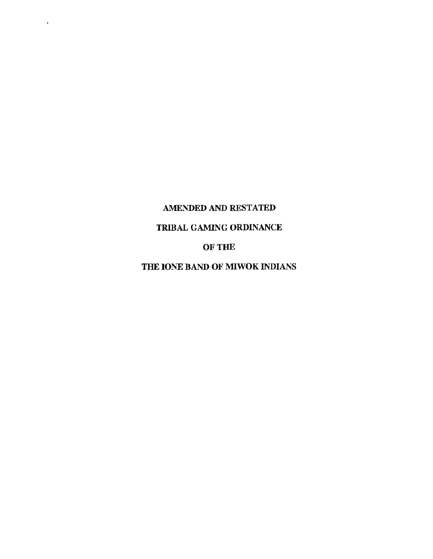# AMENDED AND RESTATED

 $\bar{1}$ 

## TRIBAL GAMING ORDINANCE

OF THE

THE IONE BAND OF MIWOK INDIANS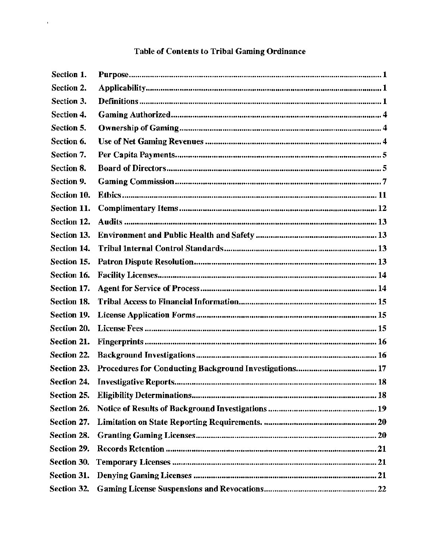# Table of Contents to Tribal Gaming Ordinance

 $\sim$ 

| Section 1.         |  |
|--------------------|--|
| Section 2.         |  |
| Section 3.         |  |
| Section 4.         |  |
| Section 5.         |  |
| Section 6.         |  |
| Section 7.         |  |
| Section 8.         |  |
| Section 9.         |  |
| Section 10.        |  |
| Section 11.        |  |
| Section 12.        |  |
| Section 13.        |  |
| Section 14.        |  |
| Section 15.        |  |
| Section 16.        |  |
| Section 17.        |  |
| Section 18.        |  |
| Section 19.        |  |
| Section 20.        |  |
| Section 21.        |  |
| Section 22.        |  |
| Section 23.        |  |
|                    |  |
| Section 25.        |  |
| Section 26.        |  |
| Section 27.        |  |
| Section 28.        |  |
| Section 29.        |  |
| Section 30.        |  |
| <b>Section 31.</b> |  |
| Section 32.        |  |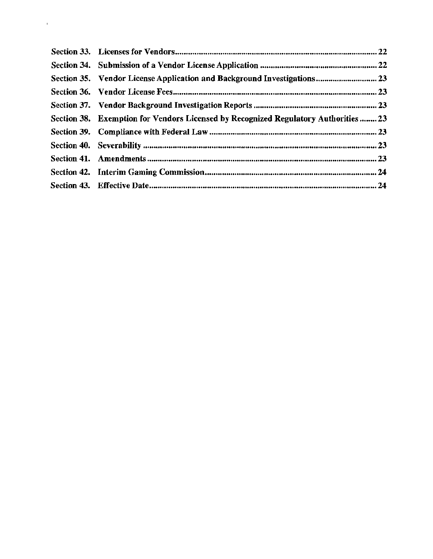| Section 35. Vendor License Application and Background Investigations 23             |  |
|-------------------------------------------------------------------------------------|--|
|                                                                                     |  |
|                                                                                     |  |
| Section 38. Exemption for Vendors Licensed by Recognized Regulatory Authorities  23 |  |
|                                                                                     |  |
|                                                                                     |  |
|                                                                                     |  |
|                                                                                     |  |
|                                                                                     |  |

' .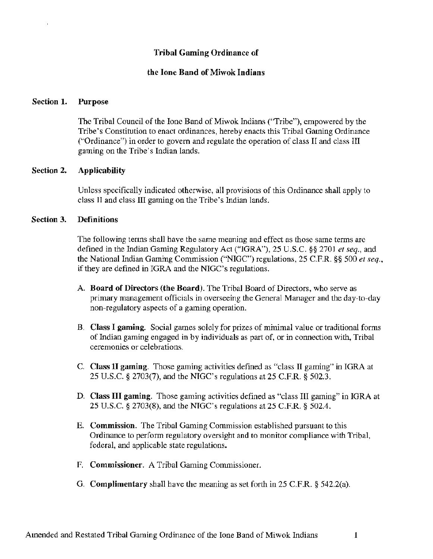### Tribal Gaming Ordinance of

### the Ione Band of Miwok Indians

#### Section 1. Purpose

 $\overline{1}$ 

The Tribal Council of the Ione Band of Miwok Indians ("Tribe"), empowered by the Tribe's Constitution to enact ordinances, hereby enacts this Tribal Gaming Ordinance ("Ordinance") in order to govern and regulate the operation of class II and class III gaming on the Tribe's Indian lands.

#### Section 2. Applicability

Unless specifically indicated otherwise, all provisions of this Ordinance shall apply to class II and class III gaming on the Tribe's Indian lands.

#### Section 3. Definitions

The following terms shall have the same meaning and effect as those same terms are defined in the Indian Gaming Regulatory Act ("IGRA"), 25 U.S.C. §§ 2701 *et seq.,* and the National Indian Gaming Commission ("NIGC") regulations, 25 C.F.R. §§ 500 *et seq.,*  if they are defined in IGRA and the NIGC' s regulations.

- A. Board of Directors (the Board). The Tribal Board of Directors, who serve as primary management officials in overseeing the General Manager and the day-to-day non-regulatory aspects of a gaming operation.
- B. Class I gaming. Social games solely for prizes of minimal value or traditional forms of Indian gaming engaged in by individuals as part of, or in connection with, Tribal ceremonies or celebrations.
- C. Class II gaming. Those gaming activities defined as "class II gaming" in IGRA at 25 U.S.C. § 2703(7), and the NIGC's regulations at 25 C.F.R. § 502.3.
- D. Class III gaming. Those gaming activities defined as "class III gaming" in IGRA at 25 U.S.C. § 2703(8), and the NIGC's regulations at 25 C.F.R. § 502.4.
- E. Commission. The Tribal Gaming Commission established pursuant to this Ordinance to perform regulatory oversight and to monitor compliance with Tribal, federal, and applicable state regulations.
- F. Commissioner. A Tribal Gaming Commissioner.
- G. Complimentary shall have the meaning as set forth in 25 C.F.R. § 542.2(a).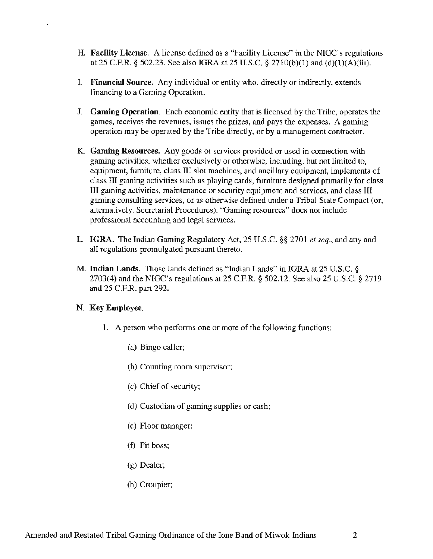- H. Facility License. A license defined as a "Facility License" in the NIGC's regulations at 25 C.F.R. § 502.23. See also IGRA at 25 U.S.C. § 2710(b)(1) and (d)(l)(A)(iii).
- I. Financial Source. Any individual or entity who, directly or indirectly, extends financing to a Gaming Operation.
- J. Gaming Operation. Each economic entity that is licensed by the Tribe, operates the games, receives the revenues, issues the prizes, and pays the expenses. A gaming operation may be operated by the Tribe directly, or by a management contractor.
- K. Gaming Resources. Any goods or services provided or used in connection with gaming activities, whether exclusively or otherwise, including, but not limited to, equipment, furniture, class III slot machines, and ancillary equipment, implements of class III gaming activities such as playing cards, furniture designed primarily for class III gaming activities, maintenance or security equipment and services, and class III gaming consulting services, or as otherwise defined under a Tribal-State Compact (or, alternatively, Secretarial Procedures). "Gaming resources" does not include professional accounting and legal services.
- L. IGRA. The Indian Gaming Regulatory Act, 25 U.S.C. §§ 2701 *et seq.,* and any and all regulations promulgated pursuant thereto.
- M. Indian Lands. Those lands defined as "Indian Lands" in IGRA at 25 U.S.C. § 2703(4) and the NIGC's regulations at 25 C.F.R. § 502.12. See also 25 U.S.C. § 2719 and 25 C.F.R. part 292.

#### N. Key Employee.

- 1. A person who performs one or more of the following functions:
	- (a) Bingo caller;
	- (b) Counting room supervisor;
	- (c) Chief of security;
	- (d) Custodian of gaming supplies or cash;
	- ( e) Floor manager;
	- (f) Pit boss;
	- (g) Dealer;
	- (h) Croupier;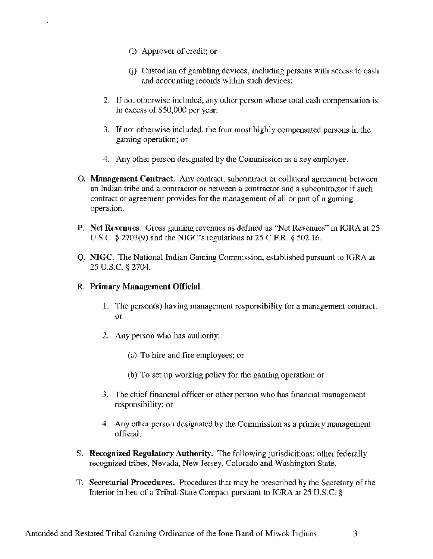- (i) Approver of credit; or
- (j) Custodian of gambling devices, including persons with access to cash and accounting records within such devices;
- 2. If not otherwise included, any other person whose total cash compensation is in excess of \$50,000 per year;
- 3. If not otherwise included, the four most highly compensated persons in the gaming operation; or
- 4. Any other person designated by the Commission as a key employee.
- 0. Management Contract. Any contract, subcontract or collateral agreement between an Indian tribe and a contractor or between a contractor and a subcontractor if such contract or agreement provides for the management of all or part of a gaming operation.
- P. Net Revenues. Gross gaming revenues as defined as "Net Revenues" in IGRA at 25 U.S.C. § 2703(9) and the NIGC's regulations at 25 C.F.R. § 502.16.
- Q. NIGC. The National Indian Gaming Commission, established pursuant to IGRA at 25 u.s.c. § 2704.

### R. Primary Management Official.

- 1. The person(s) having management responsibility for a management contract; or
- 2. Any person who has authority:
	- (a) To hire and fire employees; or
	- (b) To set up working policy for the gaming operation; or
- 3. The chief financial officer or other person who has financial management responsibility; or
- 4. Any other person designated by the Commission as a primary management official.
- S. Recognized Regulatory Authority. The following jurisdicitions: other federally recognized tribes, Nevada, New Jersey, Colorado and Washington State.
- T. Secretarial Procedures. Procedures that may be prescribed by the Secretary of the Interior in lieu of a Tribal-State Compact pursuant to IGRA at 25 U.S.C. §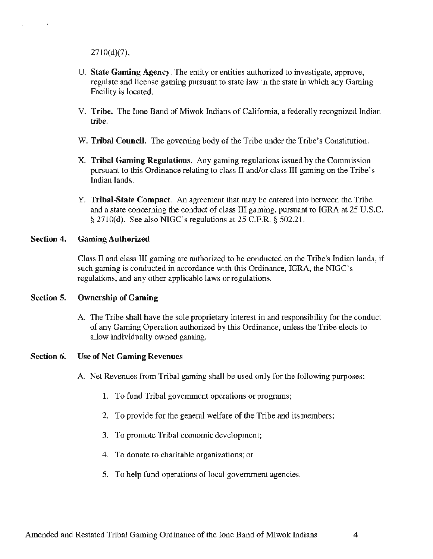$2710(d)(7)$ ,

 $\lambda$ 

- U. State Gaming Agency. The entity or entities authorized to investigate, approve, regulate and license gaming pursuant to state law in the state in which any Gaming Facility is located.
- V. Tribe. The Ione Band of Miwok Indians of California, a federally recognized Indian tribe.
- W. Tribal Council. The governing body of the Tribe under the Tribe's Constitution.
- X. Tribal Gaming Regulations. Any gaming regulations issued by the Commission pursuant to this Ordinance relating to class II and/or class III gaming on the Tribe's Indian lands.
- Y. Tribal-State Compact. An agreement that may be entered into between the Tribe and a state concerning the conduct of class III gaming, pursuant to IGRA at 25 U.S.C. § 2710(d). See also NIGC's regulations at 25 C.F.R. § 502.21.

#### Section 4. Gaming Authorized

Class II and class III gaming are authorized to be conducted on the Tribe's Indian lands, if such gaming is conducted in accordance with this Ordinance, IGRA, the NIGC's regulations, and any other applicable laws or regulations.

#### Section 5. Ownership of Gaming

A The Tribe shall have the sole proprietary interest in and responsibility for the conduct of any Gaming Operation authorized by this Ordinance, unless the Tribe elects to allow individually owned gaming.

#### Section 6. Use of Net Gaming Revenues

- A. Net Revenues from Tribal gaming shall be used only for the following purposes:
	- I. To fund Tribal government operations or programs;
	- 2. To provide for the general welfare of the Tribe and its members;
	- 3. To promote Tribal economic development;
	- 4. To donate to charitable organizations; or
	- 5. To help fund operations of local government agencies.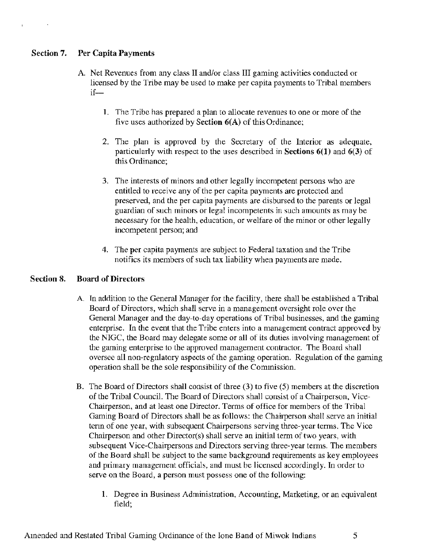### Section 7. Per Capita Payments

- A Net Revenues from any class II and/or class III gaming activities conducted or licensed by the Tribe may be used to make per capita payments to Tribal members  $if$ —
	- 1. The Tribe has prepared a plan to allocate revenues to one or more of the five uses authorized by Section 6(A) of this Ordinance;
	- 2. The plan is approved by the Secretary of the Interior as adequate, particularly with respect to the uses described in Sections 6(1) and 6(3) of this Ordinance;
	- 3. The interests of minors and other legally incompetent persons who are entitled to receive any of the per capita payments are protected and preserved, and the per capita payments are disbursed to the parents or legal guardian of such minors or legal incompetents in such amounts as may be necessary for the health, education, or welfare of the minor or other legally incompetent person; and
	- 4. The per capita payments are subject to Federal taxation and the Tribe notifies its members of such tax liability when payments are made.

### Section 8. Board of Directors

- A In addition to the General Manager for the facility, there shall be established a Tribal Board of Directors, which shall serve in a management oversight role over the General Manager and the day-to-day operations of Tribal businesses, and the gaming enterprise. In the event that the Tribe enters into a management contract approved by the NIGC, the Board may delegate some or all of its duties involving management of the gaming enterprise to the approved management contractor. The Board shall oversee all non-regnlatory aspects of the gaming operation. Regulation of the gaming operation shall be the sole responsibility of the Commission.
- B. The Board of Directors shall consist of three (3) to five (5) members at the discretion of the Tribal Council. The Board of Directors shall consist of a Chairperson, Vice-Chairperson, and at least one Director. Terms of office for members of the Tribal Gaming Board of Directors shall be as follows: the Chairperson shall serve an initial term of one year, with subsequent Chairpersons serving three-year tenns. The Vice Chairperson and other Director(s) shall serve an initial term of two years, with subsequent Vice-Chairpersons and Directors serving three-year terms. The members of the Board shall be subject to the same background requirements as key employees and primary management officials, and must be licensed accordingly. In order to serve on the Board, a person must possess one of the following:
	- 1. Degree in Business Administration, Accounting, Marketing, or an equivalent field;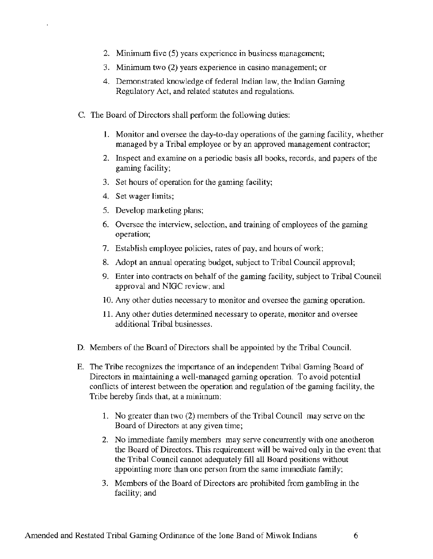- 2. Minimum five (5) years experience in business management;
- 3. Minimum two (2) years experience in casino management; or
- 4. Demonstrated knowledge of federal Indian law, the Indian Gaming Regulatory Act, and related statutes and regulations.
- C. The Board of Directors shall perform the following duties:
	- 1. Monitor and oversee the day-to-day operations of the gaming facility, whether managed by a Tribal employee or by an approved management contractor;
	- 2. Inspect and examine on a periodic basis all books, records, and papers of the gaming facility;
	- 3. Set hours of operation for the gaming facility;
	- 4. Set wager limits;
	- *5.* Develop marketing plans;
	- 6. Oversee the interview, selection, and training of employees of the gaming operation;
	- 7. Establish employee policies, rates of pay, and hours of work;
	- 8. Adopt an annual operating budget, subject to Tribal Council approval;
	- 9. Enter into contracts on behalf of the gaming facility, subject to Tribal Council approval and NIGC review; and
	- 10. Any other duties necessary to monitor and oversee the gaming operation.
	- 11. Any other duties determined necessary to operate, monitor and oversee additional Tribal businesses.
- D. Members of the Board of Directors shall be appointed by the Tribal Council.
- E. The Tribe recognizes the importance of an independent Tribal Gaming Board of Directors in maintaining a well-managed gaming operation. To avoid potential conflicts of interest between the operation and regulation of the gaming facility, the Tribe hereby finds that, at a minimum:
	- 1. No greater than two (2) members of the Tribal Council may serve on the Board of Directors at any given time;
	- 2. No immediate family members may serve concurrently with one anotheron the Board of Directors. This requirement will be waived only in the event that the Tribal Council cannot adequately fill all Board positions without appointing more than one person from the same immediate family;
	- 3. Members of the Board of Directors are prohibited from gambling in the facility; and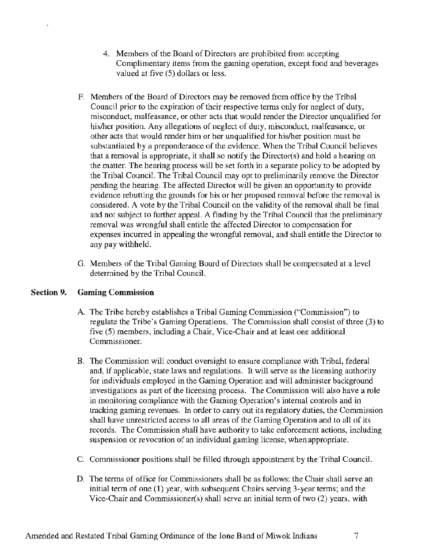- 4. Members of the Board of Directors are prohibited from accepting Complimentary items from the gaming operation, except food and beverages valued at five (5) dollars or less.
- F. Members of the Board of Directors may be removed from office by the Tribal Council prior to the expiration of their respective terms only for neglect of duty, misconduct, malfeasance, or other acts that would render the Director unqualified for his/her position. Any allegations of neglect of duty, misconduct, malfeasance, or other acts that would render him or her unqualified for his/her position must be substantiated by a preponderance of the evidence. When the Tribal Council believes that a removal is appropriate, it shall so notify the Director(s) and hold a hearing on the matter. The hearing process will be set forth in a separate policy to be adopted by the Tribal Council. The Tribal Council may opt to preliminarily remove the Director pending the hearing. The affected Director will be given an opportunity to provide evidence rebutting the grounds for his or her proposed removal before the removal is considered. A vote by the Tribal Council on the validity of the removal shall be final and not subject to further appeal. A finding by the Tribal Council that the preliminary removal was wrongful shall entitle the affected Director to compensation for expenses incurred in appealing the wrongful removal, and shall entitle the Director to any pay withheld.
- G. Members of the Tribal Gaming Board of Directors shall be compensated at a level determined by the Tribal Council.

#### Section 9. Gaming Commission

- A. The Tribe hereby establishes a Tribal Gaming Commission ("Commission") to regulate the Tribe's Gaming Operations. The Commission shall consist of three (3) to five (5) members, including a Chair, Vice-Chair and at least one additional Commissioner.
- B. The Commission will conduct oversight to ensure compliance with Tribal, federal and, if applicable, state laws and regulations. It will serve as the licensing authority for individuals employed in the Gaming Operation and will administer background investigations as part of the licensing process. The Commission will also have a role in monitoring compliance with the Gaming Operation's internal controls and in tracking gaming revenues. In order to carry out its regulatory duties, the Commission shall have unrestricted access to all areas of the Gaming Operation and to all of its records. The Commission shall have authority to take enforcement actions, including suspension or revocation of an individual gaming license, when appropriate.
- C. Commissioner positions shall be filled through appointment by the Tribal Council.
- D. The terms of office for Commissioners shall be as follows: the Chair shall serve an initial term of one (1) year, with subsequent Chairs serving 3-year terms; and the Vice-Chair and Commissioner(s) shall serve an initial term of two (2) years, with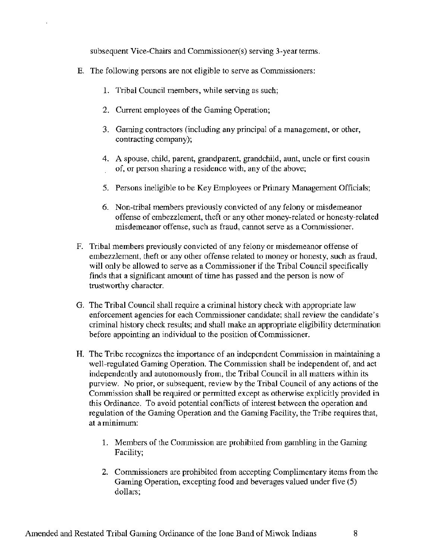subsequent Vice-Chairs and Commissioner(s) serving 3-year terms.

- E. The following persons are not eligible to serve as Commissioners:
	- 1. Tribal Council members, while serving as such;
	- 2. Current employees of the Gaming Operation;
	- 3. Gaming contractors (including any principal of a management, or other, contracting company);
	- 4. A spouse, child, parent, grandparent, grandchild, aunt, uncle or first cousin of, or person sharing a residence with, any of the above;
	- 5. Persons ineligible to be Key Employees or Primary Management Officials;
	- 6. Non-tribal members previously convicted of any felony or misdemeanor offense of embezzlement, theft or any other money-related or honesty-related misdemeanor offense, such as fraud, cannot serve as a Commissioner.
- F. Tribal members previously convicted of any felony or misdemeanor offense of embezzlement, theft or any other offense related to money or honesty, such as fraud, will only be allowed to serve as a Commissioner if the Tribal Council specifically finds that a significant amount of time has passed and the person is now of trustworthy character.
- G. The Tribal Council shall require a criminal history check with appropriate law enforcement agencies for each Commissioner candidate; shall review the candidate's criminal history check results; and shall make an appropriate eligibility determination before appointing an individual to the position of Commissioner.
- H. The Tribe recognizes the importance of an independent Commission in maintaining a well-regulated Gaming Operation. The Commission shall be independent of, and act independently and autonomously from, the Tribal Council in all matters within its purview. No prior, or subsequent, review by the Tribal Council of any actions of the Commission shall be required or permitted except as otherwise explicitly provided in this Ordinance. To avoid potential conflicts of interest between the operation and regulation of the Gaming Operation and the Gaming Facility, the Tribe requires that, at a minimum:
	- 1. Members of the Commission are prohibited from gambling in the Gaming Facility;
	- 2. Commissioners are prohibited from accepting Complimentary items from the Gaming Operation, excepting food and beverages valued under five (5) dollars;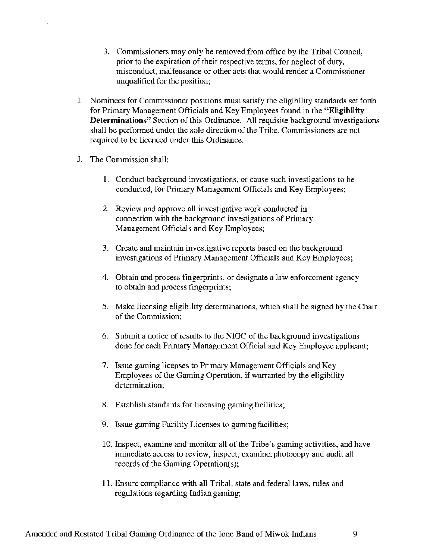- 3. Commissioners may only be removed from office by the Tribal Council, prior to the expiration of their respective tenns, for neglect of duty, misconduct, malfeasance or other acts that would render a Commissioner unqualified for the position;
- I. Nominees for Commissioner positions must satisfy the eligibility standards set forth for Primary Management Officials and Key Employees found in the **"Eligibility Determinations"** Section of this Ordinance. All requisite background investigations shall be performed under the sole direction of the Tribe. Commissioners are not required to be licenced under this Ordinance.
- J. The Commission shall:
	- **1.** Conduct background investigations, or cause such investigations to be conducted, for Primary Management Officials and Key Employees;
	- 2. Review and approve all investigative work conducted in connection with the background investigations of Primary Management Officials and Key Employees;
	- 3. Create and maintain investigative reports based on the background investigations of Primary Management Officials and Key Employees;
	- 4. Obtain and process fingerprints, or designate a law enforcement agency to obtain and process fingerprints;
	- 5. Make licensing eligibility determinations, which shall be signed by the Chair of the Commission;
	- 6. Submit a notice of results to the NIGC of the background investigations done for each Primary Management Official and Key Employee applicant;
	- 7. Issue gaming licenses to Primary Management Officials and Key Employees of the Gaming Operation, if warranted by the eligibility determination;
	- 8. Establish standards for licensing gaming facilities;
	- 9. Issue gaming Facility Licenses to gaming facilities;
	- 10. Inspect, examine and monitor all of the Tribe's gaming activities, and have immediate access to review, inspect, examine, photocopy and audit all records of the Gaming Operation(s);
	- **11.** Ensure compliance with all Tribal, state and federal laws, rules and regulations regarding Indian gaming;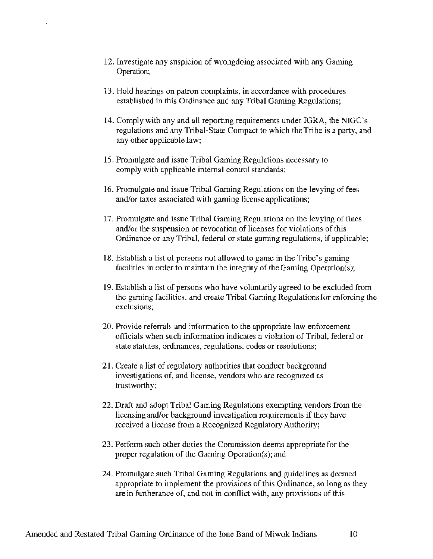- 12. Investigate any suspicion of wrongdoing associated with any Gaming Operation;
- 13. Hold hearings on patron complaints, in accordance with procedures established in this Ordinance and any Tribal Gaming Regulations;
- 14. Comply with any and all reporting requirements under IGRA, the NIGC's regulations and any Tribal-State Compact to which the Tribe is a party, and any other applicable law;
- 15. Promulgate and issue Tribal Gaming Regulations necessary to comply with applicable internal control standards;
- 16. Promulgate and issue Tribal Gaming Regulations on the levying of fees and/or taxes associated with gaming license applications;
- 17. Promulgate and issue Tribal Gaming Regulations on the levying of fines and/or the suspension or revocation of licenses for violations of this Ordinance or any Tribal, federal or state gaming regulations, if applicable;
- 18. Establish a list of persons not allowed to game in the Tribe's gaming facilities in order to maintain the integrity of the Gaming Operation(s);
- 19. Establish a list of persons who have voluntarily agreed to be excluded from the gaming facilities, and create Tribal Gaming Regulations for enforcing the exclusions;
- 20. Provide referrals and information to the appropriate law enforcement officials when such information indicates a violation of Tribal, federal or state statutes, ordinances, regulations, codes or resolutions;
- 21. Create a list of regulatory authorities that conduct background investigations of, and license, vendors who are recognized as trustworthy;
- 22. Draft and adopt Tribal Gaming Regulations exempting vendors from the licensing and/or background investigation requirements if they have received a license from a Recognized Regulatory Authority;
- 23. Perform such other duties the Commission deems appropriate for the proper regulation of the Gaming Operation(s); and
- 24. Promulgate such Tribal Gaming Regulations and guidelines as deemed appropriate to implement the provisions of this Ordinance, so long as they are in furtherance of, and not in conflict with, any provisions of this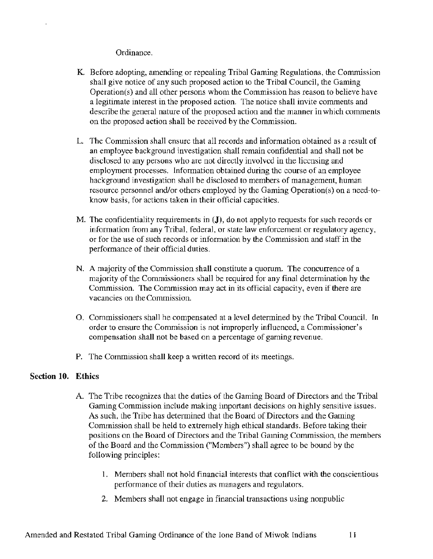### Ordinance.

- K Before adopting, amending or repealing Tribal Gaming Regulations, the Commission shall give notice of any such proposed action lo the Tribal Council, the Gaming Operation(s) and all other persons whom lhe Commission has reason to believe have a legitimate interest in the proposed action. The notice shall invite comments and describe the general nature of the proposed action and the manner in which comments on the proposed action shall be received by the Commission.
- L. The Commission shall ensure that all records and information obtained as a result of an employee background investigation shall remain confidential and shall not be disclosed to any persons who are not directly involved in the licensing and employment processes. Information obtained during the course of an employee background investigation shall be disclosed to members of management, human resource personnel and/or others employed by the Gaming Operation(s) on a need-toknow basis, for actions taken in their official capacities.
- M. The confidentiality requirements in (J), do not apply to requests for such records or information from any Tribal, federal, or state law enforcement or regulatory agency, or for lhe use of such records or information by the Commission and staff in the performance of their official duties.
- N. A majority of the Commission shall constitute a quorum. The concurrence of a majority of the Commissioners shall be required for any final determination by the Commission. The Commission may act in its official capacity, even if there are vacancies on the Commission.
- 0. Commissioners shall be compensated at a level determined by the Tribal Council. In order to ensure the Commission is not improperly influenced, a Commissioner's compensation shall not be based on a percentage of gaming revenue.
- P. The Commission shall keep a written record of its meetings.

### Section 10. Ethics

 $\overline{a}$ 

- A The Tribe recognizes that the duties of the Gaming Board of Directors and the Tribal Gaming Commission include making important decisions on highly sensitive issues. As such, the Tribe has determined that the Board of Directors and the Gaming Commission shall be held to extremely high ethical standards. Before taking their positions on the Board of Directors and the Tribal Gaming Commission, the members of the Board and the Commission ("Members") shall agree to be bound by the following principles:
	- 1. Members shall not hold financial interests that conflict with the conscientious performance of their duties as managers and regulators.
	- 2. Members shall not engage in financial transactions using nonpublic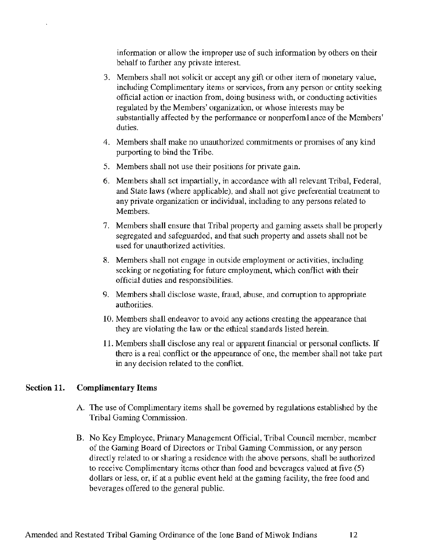information or allow the improper use of such information by others on their behalf to further any private interest.

- 3. Members shall not solicit or accept any gift or other item of monetary value, including Complimentary items or services, from any person or entity seeking official action or inaction from, doing business with, or conducting activities regulated by the Members' organization, or whose interests may be substantially affected by the performance or nonperfomlance of the Members' duties.
- 4. Members shall make no unauthorized commitments or promises of any kind purporting to bind the Tribe.
- 5. Members shall not use their positions for private gain.
- 6. Members shall act impartially, in accordance with all relevant Tribal, Federal, and State laws (where applicable), and shall not give preferential treatment to any private organization or individual, including to any persons related to Members.
- 7. Members shall ensure that Tribal property and gaming assets shall be properly segregated and safeguarded, and that such property and assets shall not be used for unauthorized activities.
- 8. Members shall not engage in outside employment or activities, including seeking or negotiating for future employment, which conflict with their official duties and responsibilities.
- 9. Members shall disclose waste, fraud, abuse, and corruption to appropriate authorities.
- 10. Members shall endeavor to avoid any actions creating the appearance that they are violating the law or the ethical standards listed herein.
- 11. Members shall disclose any real or apparent financial or personal conflicts. If there is a real conflict or the appearance of one, the member shall not take part in any decision related to the conflict.

### Section **11. Complimentary** Items

- A. The use of Complimentary items shall be governed by regulations established by the Tribal Gaming Commission.
- B. No Key Employee, Primary Management Official, Tribal Council member, member of the Gaming Board of Directors or Tribal Gaming Commission, or any person directly related to or sharing a residence with the above persons, shall be authorized to receive Complimentary items other than food and beverages valued at five (5) dollars or less, or, if at a public event held at the gaming facility, the free food and beverages offered to the general public.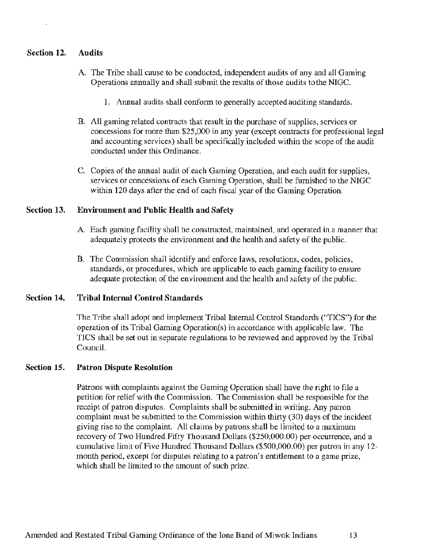#### Section 12. Audits

- A. The Tribe shall cause to be conducted, independent audits of any and all Gaming Operations annually and shall submit the results of those audits tothe NIGC.
	- 1. Annual audits shall conform to generally accepted auditing standards.
- B. All gaming related contracts that result in the purchase of supplies, services or concessions for more than \$25,000 in any year (except contracts for professional legal and accounting services) shall be specifically included within the scope of the audit conducted under this Ordinance.
- C. Copies of the annual audit of each Gaming Operation, and each audit for supplies, services or concessions of each Gaming Operation, shall be furnished to the NIGC within 120 days after the end of each fiscal year of the Gaming Operation.

#### Section 13. Environment and Public Health and Safety

- A. Each gaming facility shall be constructed, maintained, and operated in a manner that adequately protects the environment and the health and safety of the public.
- B. The Commission shall identify and enforce laws, resolutions, codes, policies, standards, or procedures, which are applicable to each gaming facility to ensure adequate protection of the environment and the health and safety of the public.

#### Section 14. Tribal Internal Control Standards

The Tribe shall adopt and implement Tribal Internal Control Standards ("TICS") for the operation of its Tribal Gaming Operation(s) in accordance with applicable law. The TICS shall be set out in separate regulations to be reviewed and approved by the Tribal Council.

#### Section 15. Patron Dispute Resolution

Patrons with complaints against the Gaming Operation shall have the right to file a petition for relief with the Commission. The Commission shall be responsible for the receipt of patron disputes. Complaints shall be submitted in writing. Any patron complaint must be submitted to the Commission within thirty (30) days of the incident giving rise to the complaint. All claims by patrons shall be limited to a maximum recovery of Two Hundred Fifty Thousand Dollars (\$250,000.00) per occurrence, and a cumulative limit of Five Hundred Thousand Dollars (\$500,000.00) per patron in any 12 month period, except for disputes relating to a patron's entitlement to a game prize, which shall be limited to the amount of such prize.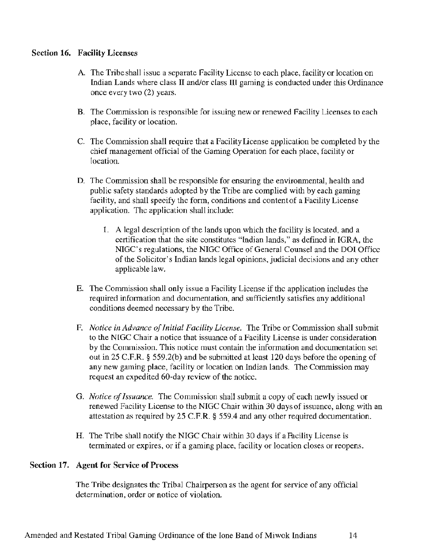### Section 16. Facility Licenses

- A. The Tribe shall issue a separate Facility License to each place, facility or location on Indian Lands where class II and/or class III gaming is conducted under this Ordinance once every two (2) years.
- B. The Commission is responsible for issuing new or renewed Facility Licenses to each place, facility or location.
- C. The Commission shall require that a Facility License application be completed by the chief management official of the Gaming Operation for each place, facility or location.
- D. The Commission shall be responsible for ensuring the environmental, health and public safety standards adopted by the Tribe are complied with by each gaming facility, and shall specify the form, conditions and content of a Facility License application. The application shall include:
	- 1. A legal description of the lands upon which the facility is located, and a certification that the site constitutes "Indian lands," as defined in IGRA, the NIGC's regulations, the NIGC Office of General Counsel and the DOI Office of the Solicitor's Indian lands legal opinions, judicial decisions and any other applicable law.
- E. The Commission shall only issue a Facility License if the application includes the required information and documentation, and sufficiently satisfies any additional conditions deemed necessary by the Tribe.
- F. *Notice in Advance of Initial Facility License.* The Tribe or Commission shall submit to the NIGC Chair a notice that issuance of a Facility License is under consideration by the Commission. This notice must contain the information and documentation set out in 25 C.F.R. § 559.2(b) and be submitted at least 120 days before the opening of any new gaming place, facility or location on Indian lands. The Commission may request an expedited 60-day review of the notice.
- G. *Notice of Issuance.* The Commission shall submit a copy of each newly issued or renewed Facility License to the NIGC Chair within 30 days of issuance, along with an attestation as required by 25 C.F.R. § 559.4 and any other required documentation.
- H. The Tribe shall notify the NIGC Chair within 30 days if a Facility License is terminated or expires, or if a gaming place, facility or location closes or reopens.

### Section 17. Agent for Service of Process

The Tribe designates the Tribal Chairperson as the agent for service of any official determination, order or notice of violation.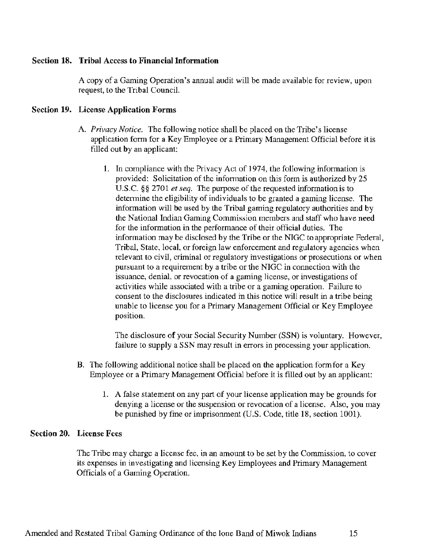#### Section 18. Tribal Access to Financial Information

A copy of a Gaming Operation's annual audit will be made available for review, upon request, to the Tribal Council.

#### Section 19. License Application Forms

- A. *Privacy Notice.* The following notice shall be placed on the Tribe's license application form for a Key Employee or a Primary Management Official before it is filled out by an applicant:
	- 1. In compliance with the Privacy Act of 1974, the following information is provided: Solicitation of the information on this form is authorized by 25 U.S.C. §§ 2701 *et seq.* The purpose of the requested information is to determine the eligibility of individuals to be granted a gaming license. The information will be used by the Tribal gaming regulatory authorities and by the National Indian Gaming Commission members and staff who have need for the information in the performance of their official duties. The information may be disclosed by the Tribe or the NIGC to appropriate Federal, Tribal, State, local, or foreign law enforcement and regulatory agencies when relevant to civil, criminal or regulatory investigations or prosecutions or when pursuant to a requirement by a tribe or the NIGC in connection with the issuance, denial, or revocation of a gaming license, or investigations of activities while associated with a tribe or a gaming operation. Failme to consent to the disclosures indicated in this notice will result in a tribe being unable to license you for a Primary Management Official or Key Employee position.

The disclosure of your Social Security Number (SSN) is voluntary. However, failure to supply a SSN may result in errors in processing your application.

- B. The following additional notice shall be placed on the application form for a Key Employee or a Primary Management Official before it is filled out by an applicant:
	- 1. A false statement on any part of your license application may be grounds for denying a license or the suspension or revocation of a license. Also, you may be punished by fine or imprisonment (U.S. Code, title 18, section 1001).

#### Section 20. License Fees

The Tribe may charge a license fee, in an amount to be set by the Commission, to cover its expenses in investigating and licensing Key Employees and Primary Management Officials of a Gaming Operation.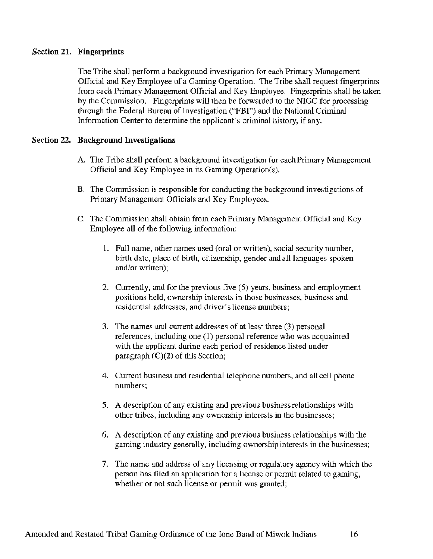#### Section 21. Fingerprints

' " "

The Tribe shall perform a background investigation for each Primary Management Official and Key Employee of a Gaming Operation. The Tribe shall request fingerprints from each Primary Management Official and Key Employee. Fingerprints shall be taken by the Commission. Fingerprints will then be forwarded to the NIGC for processing through the Federal Bureau of Investigation ("FBI") and the National Criminal Information Center to determine the applicant's criminal history, if any.

#### Section 22. Background Investigations

- A. The Tribe shall perform a background investigation for each Primary Management Official and Key Employee in its Gaming Operation(s).
- B. The Commission is responsible for conducting the background investigations of Primary Management Officials and Key Employees.
- C. The Commission shall obtain from each Primary Management Official and Key Employee all of the following information:
	- l. Full name. other names used (oral or written), social security number. birth date, place of birth, citizenship. gender and all languages spoken and/or written);
	- 2. Currently, and for the previous five (5) years, business and employment positions held, ownership interests in those businesses, business and residential addresses, and driver's license numbers;
	- 3. The names and current addresses of at least three (3) personal references, including one (1) personal reference who was acquainted with the applicant during each period of residence listed under paragraph  $(C)(2)$  of this Section;
	- 4. Current business and residential telephone numbers, and all cell phone numbers;
	- *5.* A description of any existing and previous business relationships with other tribes, including any ownership interests in the businesses;
	- 6. A description of any existing and previous business relationships with the gaming industry generally. including ownership interests in the businesses;
	- 7. The name and address of any licensing or regulatory agency with which the person has filed an application for a license or permit related to gaming. whether or not such license or permit was granted;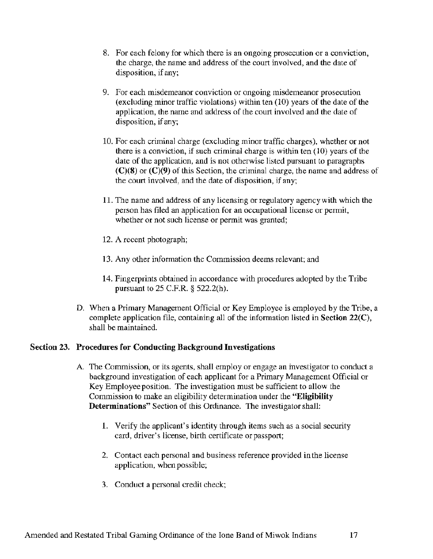- 8. For each felony for which there is an ongoing prosecution or a conviction, the charge, the name and address of the court involved, and the date of disposition, if any;
- 9. For each misdemeanor conviction or ongoing misdemeanor prosecution (excluding minor traffic violations) within ten (10) years of the date of the application, the name and address of the court involved and the date of disposition, if any;
- 10. For each criminal charge (excluding minor traffic charges), whether or not there is a conviction, if such criminal charge is within ten  $(10)$  years of the date of the application, and is not otherwise listed pursuant to paragraphs  $(C)(8)$  or  $(C)(9)$  of this Section, the criminal charge, the name and address of the court involved, and the date of disposition, if any;
- 11. The name and address of any licensing or regulatory agency with which the person has filed an application for an occupational license or permit, whether or not such license or permit was granted;
- 12. A recent photograph;
- 13. Any other information the Commission deems relevant; and
- 14. Fingerprints obtained in accordance with procedures adopted by the Tribe pursuant to 25 C.F.R. § 522.2(h).
- D. When a Primary Management Official or Key Employee is employed by the Tribe, a complete application file, containing all of the information listed in Section 22(C), shall be maintained.

### Section 23. Procedures for Conducting Background Investigations

- A The Commission, or its agents, shall employ or engage an investigator to conduct a background investigation of each applicant for a Primary Management Official or Key Employee position. The investigation must be sufficient to allow the Commission to make an eligibility determination under the "Eligibility Determinations" Section of this Ordinance. The investigator shall:
	- l. Verify the applicant's identity through items such as a social security card, driver's license, birth certificate or passport;
	- 2. Contact each personal and business reference provided in the license application, when possible;
	- 3. Conduct a personal credit check;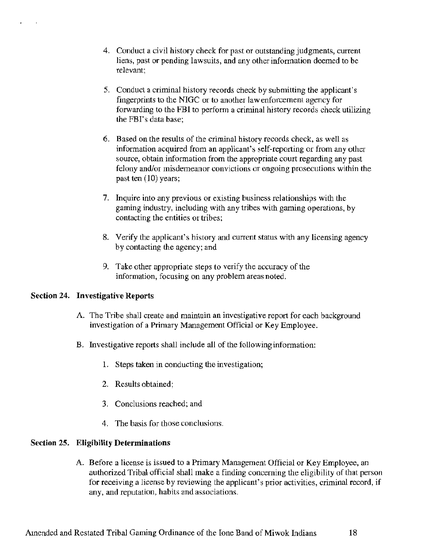- 4. Conduct a civil history check for past or outstanding judgments, current liens, past or pending lawsuits, and any other information deemed to be relevant;
- S. Conduct a criminal history records check by submitting the applicant's fingerprints to the NIGC or to another law enforcement agency for forwarding to the FBI to perform a criminal history records check utilizing the FBI's data base;
- 6. Based on the results of the criminal history records check, as well as information acquired from an applicant's self-reporting or from any other source, obtain information from the appropriate court regarding any past felony and/or misdemeanor convictions or ongoing prosecutions within the past ten (10) years;
- 7. Inquire into any previous or existing business relationships with the gaming industry, including with any tribes with gaming operations, by contacting the entities or tribes;
- 8. Verify the applicant's history and current status with any licensing agency by contacting the agency; and
- 9. Take other appropriate steps to verify the accuracy of the information, focusing on any problem areas noted.

### Section 24. Investigative Reports

. '

- A. The Tribe shall create and maintain an investigative report for each background investigation of a Primary Management Official or Key Employee.
- B. Investigative reports shall include all of the following information:
	- 1. Steps taken in conducting the investigation;
	- 2. Results obtained;
	- 3. Conclusions reached; and
	- 4. The basis for those conclusions.

#### Section 25. Eligibility Determinations

A. Before a license is issued to a Primary Management Official or Key Employee, an authorized Tribal official shall make a finding concerning the eligibility of that person for receiving a license by reviewing the applicant's prior activities, criminal record, if any, and reputation, habits and associations.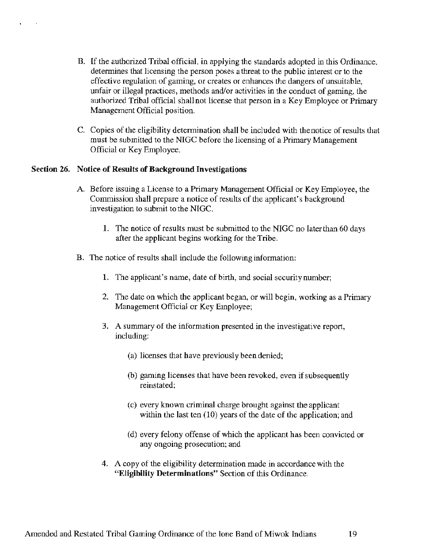- B. If the authorized Tribal official, in applying the standards adopted in this Ordinance, determines that licensing the person poses a threat to the public interest or to the effective regulation of gaming, or creates or enhances the dangers of unsuitable, unfair or illegal practices, methods and/or activities in the conduct of gaming, the authorized Tribal official shall not license that person in a Key Employee or Primary Management Official position.
- C. Copies of the eligibility determination shall be included with the notice of results that must be submitted to the NIGC before the licensing of a Primary Management Official or Key Employee.

#### Section 26. Notice of Results of Background Investigations

. . . '

- A. Before issuing a License to a Primary Management Official or Key Employee, the Commission shall prepare a notice of results of the applicant's background investigation to submit to the NIGC.
	- 1. The notice of results must be submitted to the NIGC no later than 60 days after the applicant begins working for the Tribe.
- B. The notice of results shall include the following information:
	- 1. The applicant's name, date of birth, and social security number;
	- 2. The date on which the applicant began, or will begin, working as a Primary Management Official or Key Employee;
	- 3. A summary of the information presented in the investigative report, including:
		- (a) licenses that have previously been denied;
		- (b) gaming licenses that have been revoked, even if subsequently reinstated;
		- (c) every known criminal charge brought against the applicant within the last ten (10) years of the date of the application; and
		- ( d) every felony offense of which the applicant has been convicted or any ongoing prosecution; and
	- 4. A copy of the eligibility determination made in accordancewith the "Eligibility Determinations" Section of this Ordinance.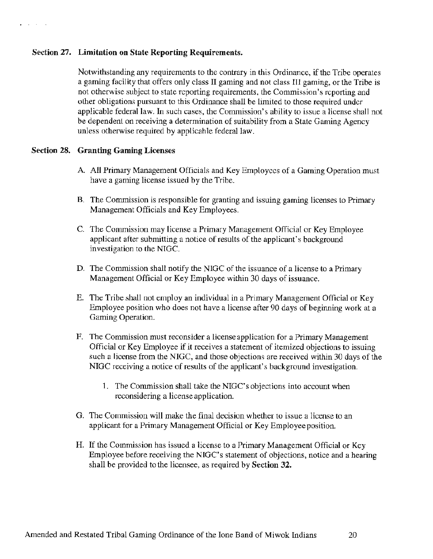#### Section 27. Limitation on State Reporting Requirements.

Notwithstanding any requirements to the contrary in this Ordinance, if the Tribe operates a gaming facility that offers only class II gaming and not class III gaming, or the Tribe is not otherwise subject to state reporting requirements, the Commission's reporting and olher obligations pursuant to this Ordinance shall be limited to those required under applicable federal law. In such cases, the Commission's ability to issue a license shall not be dependent on receiving a determination of suitability from a State Gaming Agency unless otherwise required by applicable federal law.

### Section 28. Granting Gaming Licenses

- A. All Primary Management Officials and Key Employees of a Gaming Operation must have a gaming license issued by the Tribe.
- B. The Commission is responsible for granting and issuing gaming licenses to Primary Management Officials and Key Employees.
- C. The Commission may license a Primary Management Official or Key Employee applicant after submitting a notice of results of the applicant's background investigation to the NIGC.
- D. The Commission shall notify the NIGC of the issuance of a license to a Primary Management Official or Key Employee within 30 days of issuance.
- E. The Tribe shall not employ an individual in a Primary Management Official or Key Employee position who does not have a license after 90 days of beginning work at a Gaming Operation.
- F. The Commission must reconsider a license application for a Primary Management Official or Key Employee if it receives a statement of itemized objections to issuing such a license from the NIGC, and those objections are received within 30 days of the NIGC receiving a notice of results of the applicant's background investigation.
	- 1. The Commission shall take the NIGC's objections into account when reconsidering a license application.
- G. The Commission will make the final decision whether to issue a license to an applicant for a Primary Management Official or Key Employee position.
- H. If the Commission has issued a license to a Primary Management Official or Key Employee before receiving the NIGC's statement of objections, notice and a hearing shall be provided to the licensee, as required by Section 32.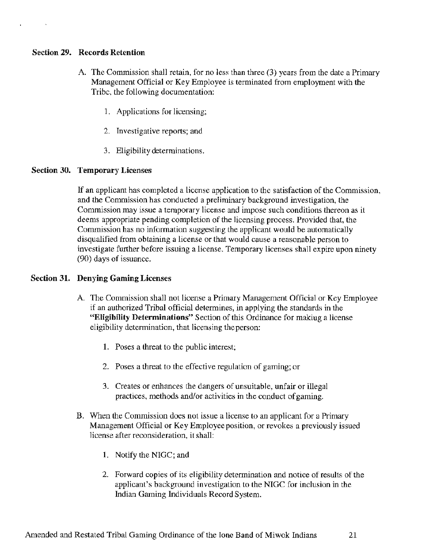### Section 29. Records Retention

- A. The Commission shall retain, for no less than three (3) years from the date a Primary Management Official or Key Employee is terminated from employment with the Tribe, the following documentation:
	- 1 . Applications for licensing;
	- 2. Investigative reports; and
	- 3. Eligibility determinations.

### Section 30. Temporary Licenses

If an applicant has completed a license application to the satisfaction of the Commission, and the Commission has conducted a preliminary background investigation, the Commission may issue a temporary license and impose such conditions thereon as it deems appropriate pending completion of the licensing process. Provided that, the Commission has no information suggesting the applicant would be automatically disqualified from obtaining a license or that would cause a reasonable person to investigate further before issuing a license. Temporary licenses shall expire upon ninety (90) days of issuance.

### Section 31. Denying Gaming Licenses

- A. The Commission shall not license a Primary Management Official or Key Employee if an authorized Tribal official determines, in applying the standards in the "Eligibility Determinations" Section of this Ordinance for making a license eligibility determination, that licensing the person:
	- 1. Poses a threat to the public interest;
	- 2. Poses a threat to the effective regulation of gaming; or
	- 3. Creates or enhances the dangers of unsuitable, unfair or illegal practices, methods and/or activities in the conduct of gaming.
- B. When the Commission does not issue a license to an applicant for a Primary Management Official or Key Employee position, or revokes a previously issued license after reconsideration, it shall:
	- 1. Notify the NIGC; and
	- 2. Forward copies of its eligibility determination and notice of results of the applicant's background investigation to the NIGC for inclusion in the Indian Gaming Individuals Record System.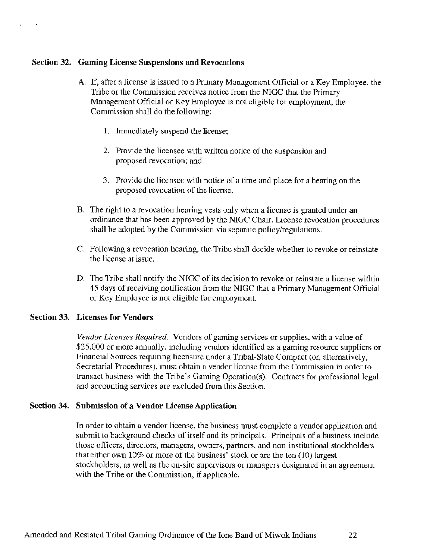#### Section 32. Gaming License Suspensions and Revocations

f ' + + + + +

- A If, after a license is issued to a Primary Management Official or a Key Employee, the Tribe or the Commission receives notice from the NIGC that the Primary Management Official or Key Employee is not eligible for employment, the Commission shall do the following:
	- 1. Immediately suspend the license;
	- 2. Provide the licensee with written notice of the suspension and proposed revocation; and
	- 3. Provide the licensee with notice of a time and place for a hearing on the proposed revocation of the license.
- B. The right to a revocation hearing vests only when a license is granted under an ordinance that has been approved by the NIGC Chair. License revocation procedures shall be adopted by the Commission via separate policy/regulations.
- C. Following a revocation hearing, the Tribe shall decide whether to revoke or reinstate the license at issue.
- D. The Tribe shall notify the NIGC of its decision to revoke or reinstate a license within 45 days of receiving notification from the NIGC that a Primary Management Official or Key Employee is not eligible for employment.

### Section 33. Licenses for Vendors

*Vendor Licenses Required.* Vendors of gaming services or supplies, with a value of \$25,000 or more annually, including vendors identified as a gaming resource suppliers or Financial Sources requiring licensure under a Tribal-State Compact (or, alternatively, Secretarial Procedures), must obtain a vendor license from the Commission in order to transact business with the Tribe's Gaming Opcration{s). Contracts for professional legal and accounting services are excluded from this Section.

#### Section 34. Submission of a Vendor License Application

In order to obtain a vendor license, the business must complete a vendor application and submit to background checks of itself and its principals. Principals of a business include those officers, directors, managers, owners, partners, and non-institutional stockholders thateither own 10% or more of the business' stock or are the ten {JO) largest stockholders, as well as the on-site supervisors or managers designated in an agreement with the Tribe or the Commission, if applicable.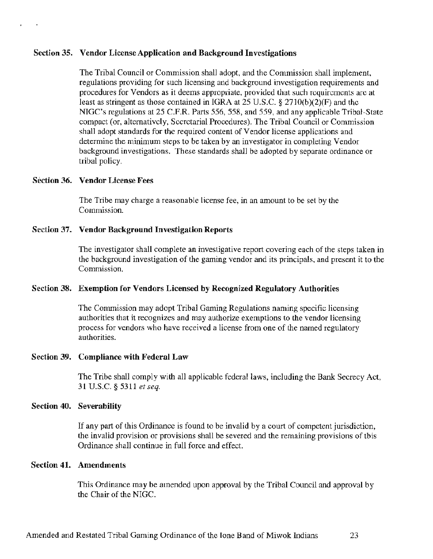#### Section 35. Vendor License Application and Background Investigations

The Tribal Council or Commission shall adopt, and the Commission shall implement, regulations providing for such licensing and background investigation requirements and procedures for Vendors as it deems appropriate, provided that such requirements arc at least as stringent as those contained in IGRA at  $25$  U.S.C. § 2710(b)(2)(F) and the NIGC's regulations at 25 C.F.R. Parts 556, 558, and 559, and any applicable Tribal-State compact (or, alternatively, Secretarial Procedures). The Tribal Council or Commission shall adopt standards for the required content of Vendor license applications and determine the minimum steps to be taken by an investigator in completing Vendor background investigations. These standards shall be adopted by separate ordinance or tribal policy.

#### Section 36. Vendor License Fees

 $\mathcal{L} \rightarrow \mathcal{L}$ 

The Tribe may charge a reasonable license fee, in an amount to be set by the Commission.

#### Section 37. Vendor Background Investigation Reports

The investigator shall complete an investigative report covering each of the steps taken in the background investigation of the gaming vendor and its principals, and present it to the Commission.

#### Section 38. Exemption for Vendors Licensed by Recognized Regulatory Authorities

The Commission may adopt Tribal Gaming Regulations naming specific licensing authorities that it recognizes and may authorize exemptions to the vendor licensing process for vendors who have received a license from one of the named regulatory authorities.

#### Section 39. Compliance with Federal Law

The Tribe shall comply with all applicable federal laws, including the Bank Secrecy Act, 31 U.S.C. § 5311 *et seq.* 

#### Section 40. Severability

If any part of this Ordinance is found to be invalid by a court of competent jurisdiction, the invalid provision or provisions shall be severed and the remaining provisions of this Ordinance shall continue in full force and effect.

#### Section 41. Amendments

This Ordinance may be amended upon approval by the Tribal Council and approval by the Chair of the NIGC.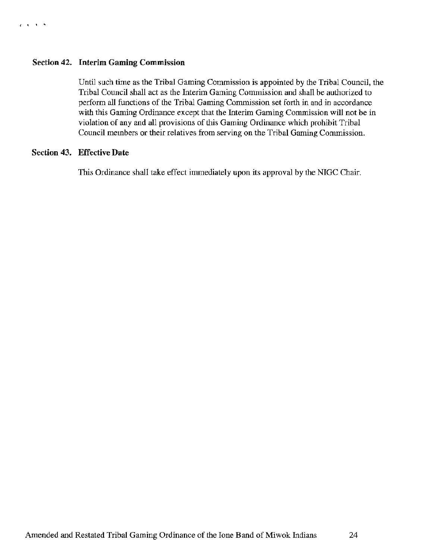#### Section 42. Interim Gaming Commission

Until such time as the Tribal Gaming Commission is appointed by the Tribal Council, the Tribal Council shall act as the Interim Gaming Commission and shall be authorized to perform all functions of the Tribal Gaming Commission set forth in and in accordance with this Gaming Ordinance except that the Interim Gaming Commission will not be in violation of any and all provisions of this Gaming Ordinance which prohibit Tribal Council members or their relatives from serving on the Tribal Gaming Commission.

#### Section 43. Effective Date

This Ordinance shall take effect immediately upon its approval by the NIGC Chair.